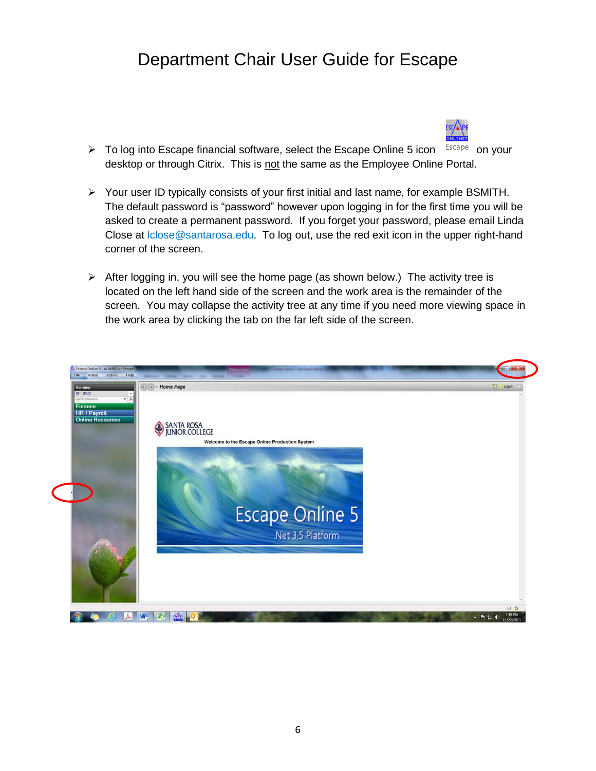# Department Chair User Guide for Escape



- $\triangleright$  To log into Escape financial software, select the Escape Online 5 icon  $\frac{Escape}{ }$  on your desktop or through Citrix. This is not the same as the Employee Online Portal.
- Your user ID typically consists of your first initial and last name, for example BSMITH. The default password is "password" however upon logging in for the first time you will be asked to create a permanent password. If you forget your password, please email Linda Close at lclose@santarosa.edu. To log out, use the red exit icon in the upper right-hand corner of the screen.
- $\triangleright$  After logging in, you will see the home page (as shown below.) The activity tree is located on the left hand side of the screen and the work area is the remainder of the screen. You may collapse the activity tree at any time if you need more viewing space in the work area by clicking the tab on the far left side of the screen.

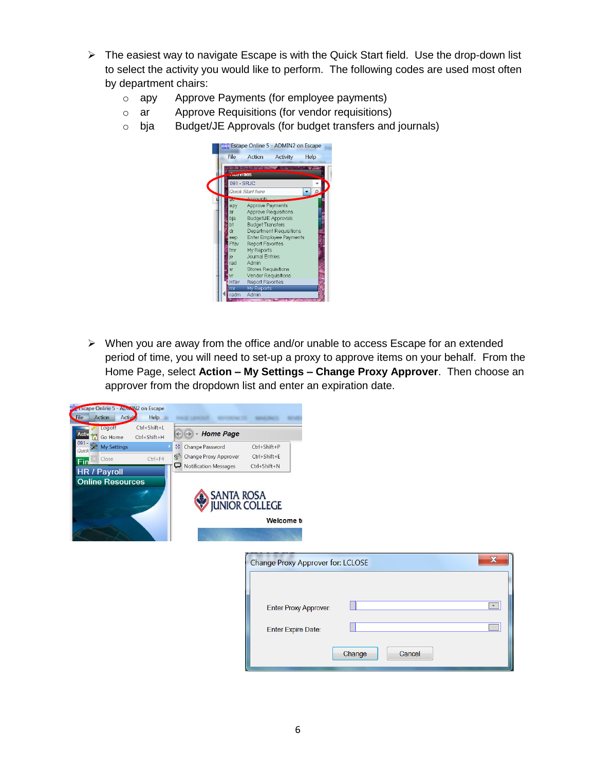- $\triangleright$  The easiest way to navigate Escape is with the Quick Start field. Use the drop-down list to select the activity you would like to perform. The following codes are used most often by department chairs:
	- o apy Approve Payments (for employee payments)
	- o ar Approve Requisitions (for vendor requisitions)
	- o bja Budget/JE Approvals (for budget transfers and journals)



 $\triangleright$  When you are away from the office and/or unable to access Escape for an extended period of time, you will need to set-up a proxy to approve items on your behalf. From the Home Page, select **Action – My Settings – Change Proxy Approver**. Then choose an approver from the dropdown list and enter an expiration date.

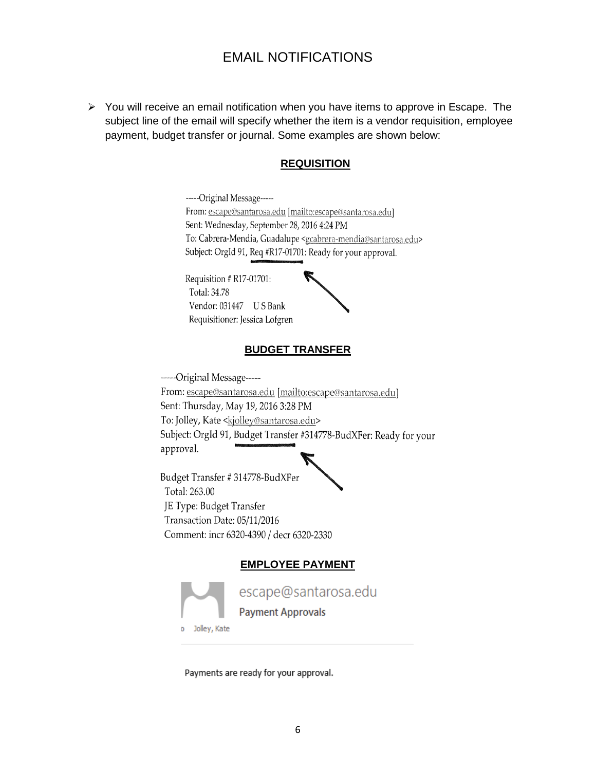### EMAIL NOTIFICATIONS

 $\triangleright$  You will receive an email notification when you have items to approve in Escape. The subject line of the email will specify whether the item is a vendor requisition, employee payment, budget transfer or journal. Some examples are shown below:

#### **REQUISITION**

-----Original Message-----From: escape@santarosa.edu [mailto:escape@santarosa.edu] Sent: Wednesday, September 28, 2016 4:24 PM To: Cabrera-Mendia, Guadalupe <gcabrera-mendia@santarosa.edu> Subject: OrgId 91, Req #R17-01701: Ready for your approval.

Requisition # R17-01701: Total: 34.78 Vendor: 031447 US Bank Requisitioner: Jessica Lofgren



#### **BUDGET TRANSFER**

-----Original Message-----From: escape@santarosa.edu [mailto:escape@santarosa.edu] Sent: Thursday, May 19, 2016 3:28 PM To: Jolley, Kate <kjolley@santarosa.edu> Subject: OrgId 91, Budget Transfer #314778-BudXFer: Ready for your approval.

Budget Transfer #314778-BudXFer Total: 263.00 JE Type: Budget Transfer Transaction Date: 05/11/2016 Comment: incr 6320-4390 / decr 6320-2330

#### **EMPLOYEE PAYMENT**



escape@santarosa.edu

**Payment Approvals** 

Jolley, Kate

Payments are ready for your approval.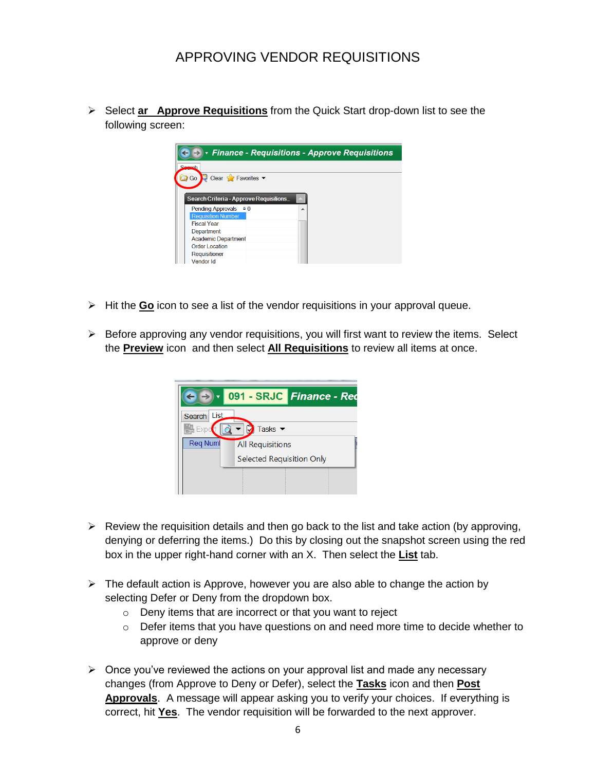Select **ar Approve Requisitions** from the Quick Start drop-down list to see the following screen:



- Hit the **Go** icon to see a list of the vendor requisitions in your approval queue.
- $\triangleright$  Before approving any vendor requisitions, you will first want to review the items. Select the **Preview** icon and then select **All Requisitions** to review all items at once.

|                                              | 091 - SRJC Finance - Rec  |  |  |  |  |  |  |  |  |
|----------------------------------------------|---------------------------|--|--|--|--|--|--|--|--|
| List<br>Search<br>Tasks $\blacktriangledown$ |                           |  |  |  |  |  |  |  |  |
| <b>Reg Numl</b>                              | <b>All Requisitions</b>   |  |  |  |  |  |  |  |  |
|                                              | Selected Requisition Only |  |  |  |  |  |  |  |  |
|                                              |                           |  |  |  |  |  |  |  |  |

- $\triangleright$  Review the requisition details and then go back to the list and take action (by approving, denying or deferring the items.) Do this by closing out the snapshot screen using the red box in the upper right-hand corner with an X. Then select the **List** tab.
- $\triangleright$  The default action is Approve, however you are also able to change the action by selecting Defer or Deny from the dropdown box.
	- o Deny items that are incorrect or that you want to reject
	- o Defer items that you have questions on and need more time to decide whether to approve or deny
- $\triangleright$  Once you've reviewed the actions on your approval list and made any necessary changes (from Approve to Deny or Defer), select the **Tasks** icon and then **Post Approvals**. A message will appear asking you to verify your choices. If everything is correct, hit **Yes**. The vendor requisition will be forwarded to the next approver.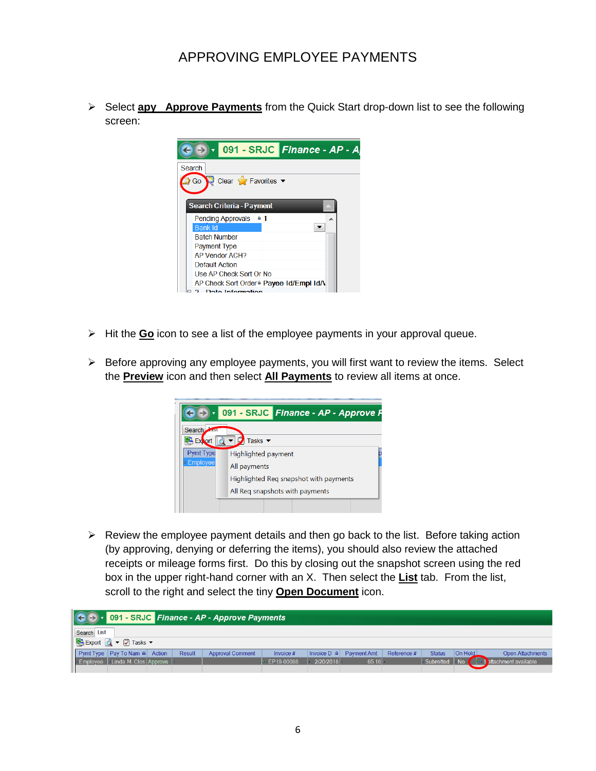Select **apy Approve Payments** from the Quick Start drop-down list to see the following screen:



- $\triangleright$  Hit the **Go** icon to see a list of the employee payments in your approval queue.
- $\triangleright$  Before approving any employee payments, you will first want to review the items. Select the **Preview** icon and then select **All Payments** to review all items at once.



 $\triangleright$  Review the employee payment details and then go back to the list. Before taking action (by approving, denying or deferring the items), you should also review the attached receipts or mileage forms first. Do this by closing out the snapshot screen using the red box in the upper right-hand corner with an X. Then select the **List** tab. From the list, scroll to the right and select the tiny **Open Document** icon.

|                                                         | $\boxed{\left(\leftarrow\right)}$ $\cdot$ 091 - SRJC Finance - AP - Approve Payments |                                   |  |        |                         |                   |             |             |             |               |         |                                      |
|---------------------------------------------------------|--------------------------------------------------------------------------------------|-----------------------------------|--|--------|-------------------------|-------------------|-------------|-------------|-------------|---------------|---------|--------------------------------------|
|                                                         | Search List                                                                          |                                   |  |        |                         |                   |             |             |             |               |         |                                      |
| $\mathbb{R}$ Export $\mathbb{Q}$ v $\mathbb{Z}$ Tasks v |                                                                                      |                                   |  |        |                         |                   |             |             |             |               |         |                                      |
|                                                         |                                                                                      | Pymt Type   Pay To Nam @   Action |  | Result | <b>Approval Comment</b> | Invoice #         | Invoice D @ | Payment Amt | Reference # | <b>Status</b> | On Hold | <b>Open Attachments</b>              |
|                                                         |                                                                                      | Employee   Linda M. Clos Approve  |  |        |                         | $\sim$ EP19-00088 | 2/20/2018   | $65.16 -$   |             |               |         | Submitted No & 1 stachment available |
|                                                         |                                                                                      |                                   |  |        |                         |                   |             |             |             |               |         |                                      |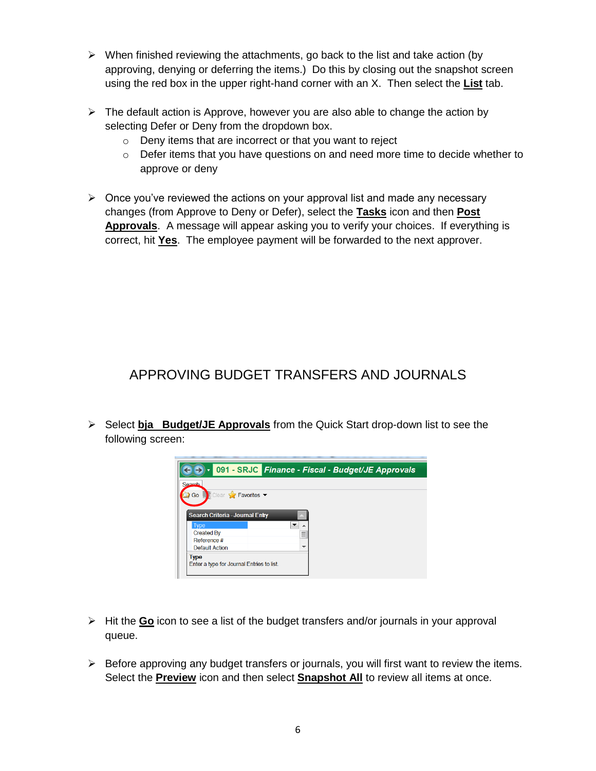- $\triangleright$  When finished reviewing the attachments, go back to the list and take action (by approving, denying or deferring the items.) Do this by closing out the snapshot screen using the red box in the upper right-hand corner with an X. Then select the **List** tab.
- $\triangleright$  The default action is Approve, however you are also able to change the action by selecting Defer or Deny from the dropdown box.
	- o Deny items that are incorrect or that you want to reject
	- $\circ$  Defer items that you have questions on and need more time to decide whether to approve or deny
- $\triangleright$  Once you've reviewed the actions on your approval list and made any necessary changes (from Approve to Deny or Defer), select the **Tasks** icon and then **Post Approvals**. A message will appear asking you to verify your choices. If everything is correct, hit **Yes**. The employee payment will be forwarded to the next approver.

## APPROVING BUDGET TRANSFERS AND JOURNALS

 Select **bja Budget/JE Approvals** from the Quick Start drop-down list to see the following screen:



- Hit the **Go** icon to see a list of the budget transfers and/or journals in your approval queue.
- $\triangleright$  Before approving any budget transfers or journals, you will first want to review the items. Select the **Preview** icon and then select **Snapshot All** to review all items at once.